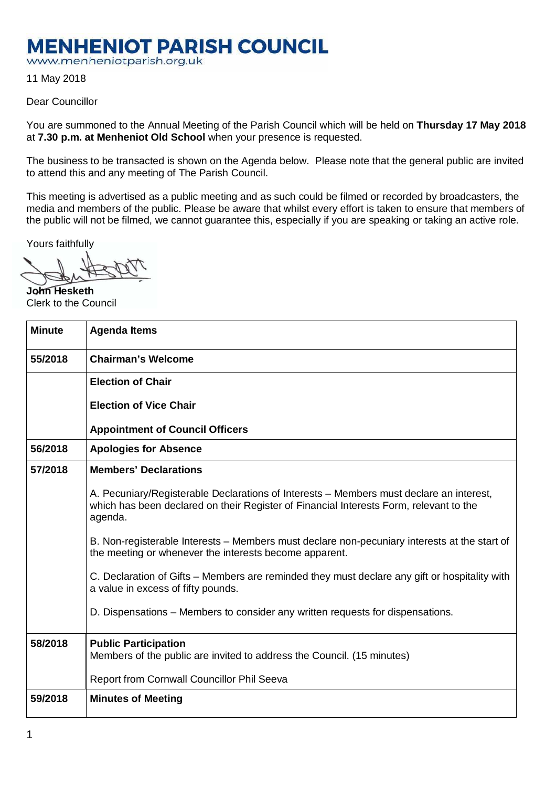## **MENHENIOT PARISH COUNCIL**

www.menheniotparish.org.uk

11 May 2018

## Dear Councillor

You are summoned to the Annual Meeting of the Parish Council which will be held on **Thursday 17 May 2018**  at **7.30 p.m. at Menheniot Old School** when your presence is requested.

The business to be transacted is shown on the Agenda below. Please note that the general public are invited to attend this and any meeting of The Parish Council.

This meeting is advertised as a public meeting and as such could be filmed or recorded by broadcasters, the media and members of the public. Please be aware that whilst every effort is taken to ensure that members of the public will not be filmed, we cannot guarantee this, especially if you are speaking or taking an active role.

Yours faithfully

**John Hesketh**  Clerk to the Council

| <b>Minute</b> | <b>Agenda Items</b>                                                                                                                                                                          |
|---------------|----------------------------------------------------------------------------------------------------------------------------------------------------------------------------------------------|
| 55/2018       | <b>Chairman's Welcome</b>                                                                                                                                                                    |
|               | <b>Election of Chair</b>                                                                                                                                                                     |
|               | <b>Election of Vice Chair</b>                                                                                                                                                                |
|               | <b>Appointment of Council Officers</b>                                                                                                                                                       |
| 56/2018       | <b>Apologies for Absence</b>                                                                                                                                                                 |
| 57/2018       | <b>Members' Declarations</b>                                                                                                                                                                 |
|               | A. Pecuniary/Registerable Declarations of Interests – Members must declare an interest,<br>which has been declared on their Register of Financial Interests Form, relevant to the<br>agenda. |
|               | B. Non-registerable Interests – Members must declare non-pecuniary interests at the start of<br>the meeting or whenever the interests become apparent.                                       |
|               | C. Declaration of Gifts – Members are reminded they must declare any gift or hospitality with<br>a value in excess of fifty pounds.                                                          |
|               | D. Dispensations - Members to consider any written requests for dispensations.                                                                                                               |
| 58/2018       | <b>Public Participation</b><br>Members of the public are invited to address the Council. (15 minutes)                                                                                        |
|               | Report from Cornwall Councillor Phil Seeva                                                                                                                                                   |
| 59/2018       | <b>Minutes of Meeting</b>                                                                                                                                                                    |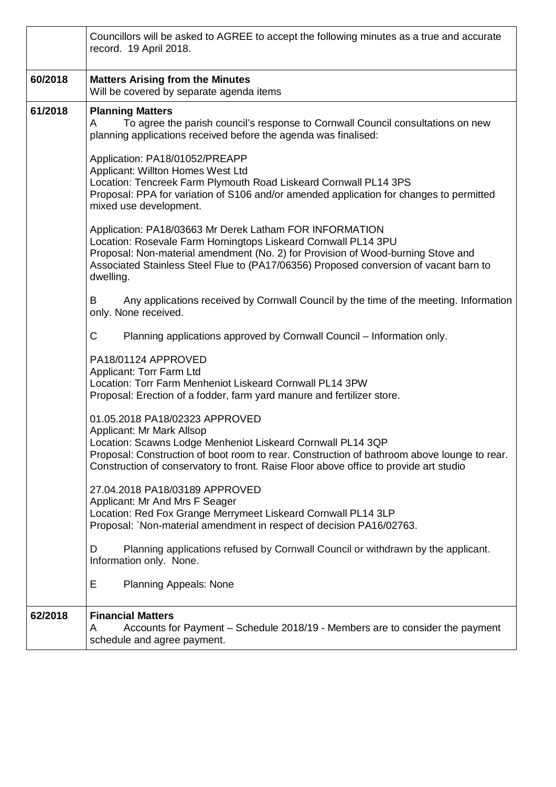|         | Councillors will be asked to AGREE to accept the following minutes as a true and accurate<br>record. 19 April 2018.                                                                                                                                                                                                 |
|---------|---------------------------------------------------------------------------------------------------------------------------------------------------------------------------------------------------------------------------------------------------------------------------------------------------------------------|
| 60/2018 | <b>Matters Arising from the Minutes</b><br>Will be covered by separate agenda items                                                                                                                                                                                                                                 |
| 61/2018 | <b>Planning Matters</b><br>To agree the parish council's response to Cornwall Council consultations on new<br>A<br>planning applications received before the agenda was finalised:                                                                                                                                  |
|         | Application: PA18/01052/PREAPP<br>Applicant: Willton Homes West Ltd<br>Location: Tencreek Farm Plymouth Road Liskeard Cornwall PL14 3PS<br>Proposal: PPA for variation of S106 and/or amended application for changes to permitted<br>mixed use development.                                                        |
|         | Application: PA18/03663 Mr Derek Latham FOR INFORMATION<br>Location: Rosevale Farm Horningtops Liskeard Cornwall PL14 3PU<br>Proposal: Non-material amendment (No. 2) for Provision of Wood-burning Stove and<br>Associated Stainless Steel Flue to (PA17/06356) Proposed conversion of vacant barn to<br>dwelling. |
|         | Any applications received by Cornwall Council by the time of the meeting. Information<br>B<br>only. None received.                                                                                                                                                                                                  |
|         | C.<br>Planning applications approved by Cornwall Council - Information only.                                                                                                                                                                                                                                        |
|         | PA18/01124 APPROVED<br>Applicant: Torr Farm Ltd<br>Location: Torr Farm Menheniot Liskeard Cornwall PL14 3PW<br>Proposal: Erection of a fodder, farm yard manure and fertilizer store.                                                                                                                               |
|         | 01.05.2018 PA18/02323 APPROVED<br>Applicant: Mr Mark Allsop<br>Location: Scawns Lodge Menheniot Liskeard Cornwall PL14 3QP<br>Proposal: Construction of boot room to rear. Construction of bathroom above lounge to rear.<br>Construction of conservatory to front. Raise Floor above office to provide art studio  |
|         | 27.04.2018 PA18/03189 APPROVED<br>Applicant: Mr And Mrs F Seager<br>Location: Red Fox Grange Merrymeet Liskeard Cornwall PL14 3LP<br>Proposal: `Non-material amendment in respect of decision PA16/02763.                                                                                                           |
|         | Planning applications refused by Cornwall Council or withdrawn by the applicant.<br>D<br>Information only. None.                                                                                                                                                                                                    |
|         | Е<br><b>Planning Appeals: None</b>                                                                                                                                                                                                                                                                                  |
| 62/2018 | <b>Financial Matters</b><br>Accounts for Payment - Schedule 2018/19 - Members are to consider the payment<br>A<br>schedule and agree payment.                                                                                                                                                                       |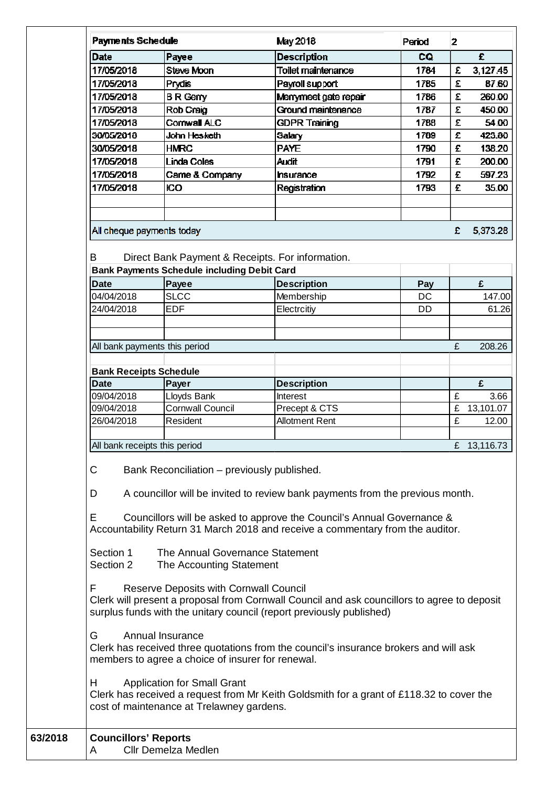| <b>Payments Schedule</b>                     |                                                                                                            | May 2018                                                                                                                                                                                                                                  | Period | $\overline{2}$ |             |
|----------------------------------------------|------------------------------------------------------------------------------------------------------------|-------------------------------------------------------------------------------------------------------------------------------------------------------------------------------------------------------------------------------------------|--------|----------------|-------------|
| Date                                         | Payee                                                                                                      | <b>Description</b>                                                                                                                                                                                                                        | CQ     |                | £           |
| 17/05/2018                                   | <b>Steve Moon</b>                                                                                          | <b>Toilet maintenance</b>                                                                                                                                                                                                                 | 1784   | £              | 3,127.45    |
| 17/05/2018                                   | Prydis                                                                                                     | Payroll support                                                                                                                                                                                                                           | 1785   | £              | 87.60       |
| 17/05/2018                                   | <b>BR</b> Gerry                                                                                            | Merrymeet gate repair                                                                                                                                                                                                                     | 1786   | £              | 260.00      |
| 17/05/2018                                   | Rob Craig                                                                                                  | Ground maintenance                                                                                                                                                                                                                        | 1787   | £              | 450.00      |
| 17/05/2018                                   | Cornwall ALC                                                                                               | <b>GDPR Training</b>                                                                                                                                                                                                                      | 1788   | £              | 54.00       |
| 30/05/2018                                   | John Hesketh                                                                                               | Salary                                                                                                                                                                                                                                    | 1789   | £              | 423.80      |
| 30/05/2018                                   | <b>HMRC</b>                                                                                                | <b>PAYE</b>                                                                                                                                                                                                                               | 1790   | £              | 138.20      |
| 17/05/2018                                   | <b>Linda Coles</b>                                                                                         | <b>Audit</b>                                                                                                                                                                                                                              | 1791   | £              | 200.00      |
| 17/05/2018                                   | Came & Company                                                                                             | hsurance                                                                                                                                                                                                                                  | 1792   | £              | 597.23      |
| 17/05/2018                                   | ЮO                                                                                                         | Registration                                                                                                                                                                                                                              | 1793   | £              | 35.00       |
| All cheque payments today                    |                                                                                                            |                                                                                                                                                                                                                                           |        | £              | 5,373.28    |
| B                                            | Direct Bank Payment & Receipts. For information.<br><b>Bank Payments Schedule including Debit Card</b>     |                                                                                                                                                                                                                                           |        |                |             |
| <b>Date</b>                                  | Payee                                                                                                      | <b>Description</b>                                                                                                                                                                                                                        | Pay    |                | £           |
| 04/04/2018                                   | <b>SLCC</b>                                                                                                | Membership                                                                                                                                                                                                                                | DC     |                | 147.00      |
| 24/04/2018                                   | <b>EDF</b>                                                                                                 | Electrcitiy                                                                                                                                                                                                                               | DD     |                | 61.26       |
|                                              |                                                                                                            |                                                                                                                                                                                                                                           |        |                |             |
| All bank payments this period                |                                                                                                            |                                                                                                                                                                                                                                           |        | £              | 208.26      |
|                                              |                                                                                                            |                                                                                                                                                                                                                                           |        |                |             |
| <b>Bank Receipts Schedule</b><br><b>Date</b> | Payer                                                                                                      | <b>Description</b>                                                                                                                                                                                                                        |        |                | £           |
| 09/04/2018                                   | Lloyds Bank                                                                                                | Interest                                                                                                                                                                                                                                  |        | £              | 3.66        |
| 09/04/2018                                   | <b>Cornwall Council</b>                                                                                    | Precept & CTS                                                                                                                                                                                                                             |        | £              | 13,101.07   |
| 26/04/2018                                   | Resident                                                                                                   | <b>Allotment Rent</b>                                                                                                                                                                                                                     |        | £              | 12.00       |
|                                              |                                                                                                            |                                                                                                                                                                                                                                           |        |                |             |
| All bank receipts this period                |                                                                                                            |                                                                                                                                                                                                                                           |        |                | £ 13,116.73 |
| С<br>D<br>Е<br>Section 1<br>Section 2        | Bank Reconciliation – previously published.<br>The Annual Governance Statement<br>The Accounting Statement | A councillor will be invited to review bank payments from the previous month.<br>Councillors will be asked to approve the Council's Annual Governance &<br>Accountability Return 31 March 2018 and receive a commentary from the auditor. |        |                |             |
| F                                            | <b>Reserve Deposits with Cornwall Council</b>                                                              | Clerk will present a proposal from Cornwall Council and ask councillors to agree to deposit<br>surplus funds with the unitary council (report previously published)                                                                       |        |                |             |
| G                                            | Annual Insurance<br>members to agree a choice of insurer for renewal.                                      | Clerk has received three quotations from the council's insurance brokers and will ask                                                                                                                                                     |        |                |             |
| H                                            | <b>Application for Small Grant</b><br>cost of maintenance at Trelawney gardens.                            | Clerk has received a request from Mr Keith Goldsmith for a grant of £118.32 to cover the                                                                                                                                                  |        |                |             |
| <b>Councillors' Reports</b><br>A             | Cllr Demelza Medlen                                                                                        |                                                                                                                                                                                                                                           |        |                |             |

**63/2018 Councillors' Reports**